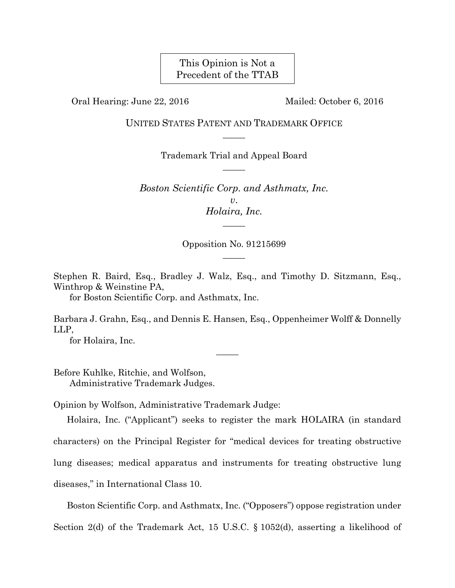# This Opinion is Not a Precedent of the TTAB

Oral Hearing: June 22, 2016 Mailed: October 6, 2016

UNITED STATES PATENT AND TRADEMARK OFFICE  $\overline{\phantom{a}}$ 

> Trademark Trial and Appeal Board  $\overline{\phantom{a}}$

*Boston Scientific Corp. and Asthmatx, Inc. v*. *Holaira, Inc.*   $\overline{\phantom{a}}$ 

> Opposition No. 91215699  $\overline{\phantom{a}}$

Stephen R. Baird, Esq., Bradley J. Walz, Esq., and Timothy D. Sitzmann, Esq., Winthrop & Weinstine PA,

for Boston Scientific Corp. and Asthmatx, Inc.

Barbara J. Grahn, Esq., and Dennis E. Hansen, Esq., Oppenheimer Wolff & Donnelly LLP,

 $\overline{\phantom{a}}$ 

for Holaira, Inc.

Before Kuhlke, Ritchie, and Wolfson, Administrative Trademark Judges.

Opinion by Wolfson, Administrative Trademark Judge:

Holaira, Inc. ("Applicant") seeks to register the mark HOLAIRA (in standard characters) on the Principal Register for "medical devices for treating obstructive lung diseases; medical apparatus and instruments for treating obstructive lung diseases," in International Class 10.

Boston Scientific Corp. and Asthmatx, Inc. ("Opposers") oppose registration under Section 2(d) of the Trademark Act, 15 U.S.C. § 1052(d), asserting a likelihood of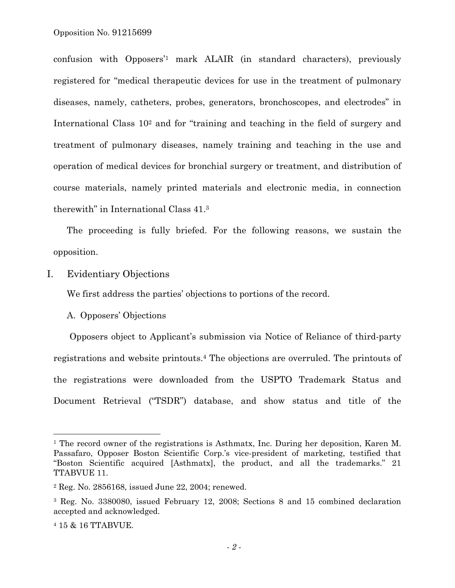confusion with Opposers'1 mark ALAIR (in standard characters), previously registered for "medical therapeutic devices for use in the treatment of pulmonary diseases, namely, catheters, probes, generators, bronchoscopes, and electrodes" in International Class 102 and for "training and teaching in the field of surgery and treatment of pulmonary diseases, namely training and teaching in the use and operation of medical devices for bronchial surgery or treatment, and distribution of course materials, namely printed materials and electronic media, in connection therewith" in International Class 41.3

The proceeding is fully briefed. For the following reasons, we sustain the opposition.

I. Evidentiary Objections

We first address the parties' objections to portions of the record.

#### A. Opposers' Objections

Opposers object to Applicant's submission via Notice of Reliance of third-party registrations and website printouts.4 The objections are overruled. The printouts of the registrations were downloaded from the USPTO Trademark Status and Document Retrieval ("TSDR") database, and show status and title of the

1

<sup>&</sup>lt;sup>1</sup> The record owner of the registrations is Asthmatx, Inc. During her deposition, Karen M. Passafaro, Opposer Boston Scientific Corp.'s vice-president of marketing, testified that "Boston Scientific acquired [Asthmatx], the product, and all the trademarks." 21 TTABVUE 11.

<sup>2</sup> Reg. No. 2856168, issued June 22, 2004; renewed.

<sup>3</sup> Reg. No. 3380080, issued February 12, 2008; Sections 8 and 15 combined declaration accepted and acknowledged.

<sup>4 15 &</sup>amp; 16 TTABVUE.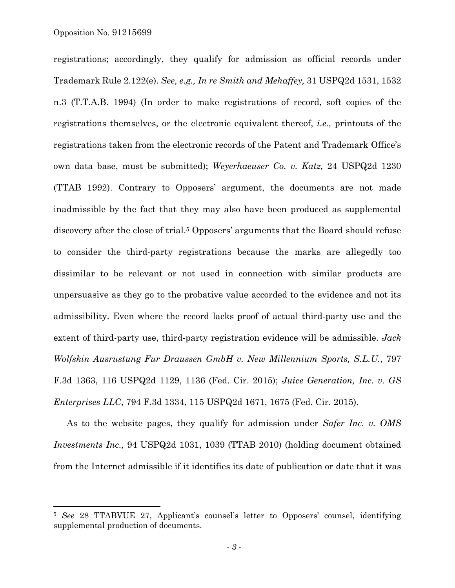$\overline{a}$ 

registrations; accordingly, they qualify for admission as official records under Trademark Rule 2.122(e). *See, e.g., In re Smith and Mehaffey,* 31 USPQ2d 1531, 1532 n.3 (T.T.A.B. 1994) (In order to make registrations of record, soft copies of the registrations themselves, or the electronic equivalent thereof, *i.e.,* printouts of the registrations taken from the electronic records of the Patent and Trademark Office's own data base, must be submitted); *Weyerhaeuser Co. v. Katz,* 24 USPQ2d 1230 (TTAB 1992). Contrary to Opposers' argument, the documents are not made inadmissible by the fact that they may also have been produced as supplemental discovery after the close of trial.<sup>5</sup> Opposers' arguments that the Board should refuse to consider the third-party registrations because the marks are allegedly too dissimilar to be relevant or not used in connection with similar products are unpersuasive as they go to the probative value accorded to the evidence and not its admissibility. Even where the record lacks proof of actual third-party use and the extent of third-party use, third-party registration evidence will be admissible. *Jack Wolfskin Ausrustung Fur Draussen GmbH v. New Millennium Sports, S.L.U.*, 797 F.3d 1363, 116 USPQ2d 1129, 1136 (Fed. Cir. 2015); *Juice Generation, Inc. v. GS Enterprises LLC*, 794 F.3d 1334, 115 USPQ2d 1671, 1675 (Fed. Cir. 2015).

As to the website pages, they qualify for admission under *Safer Inc. v. OMS Investments Inc.,* 94 USPQ2d 1031, 1039 (TTAB 2010) (holding document obtained from the Internet admissible if it identifies its date of publication or date that it was

<sup>5</sup> *See* 28 TTABVUE 27, Applicant's counsel's letter to Opposers' counsel, identifying supplemental production of documents.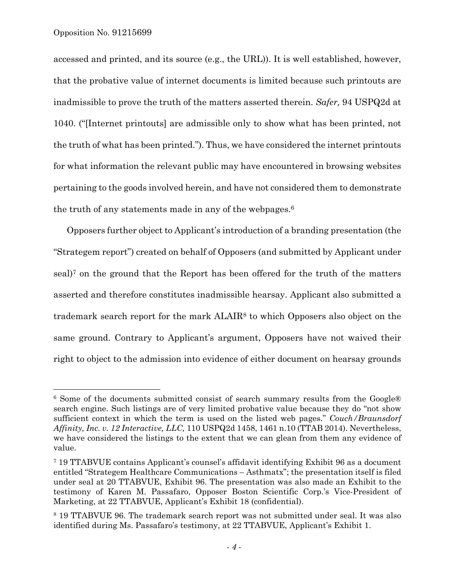1

accessed and printed, and its source (e.g., the URL)). It is well established, however, that the probative value of internet documents is limited because such printouts are inadmissible to prove the truth of the matters asserted therein. *Safer,* 94 USPQ2d at 1040. ("[Internet printouts] are admissible only to show what has been printed, not the truth of what has been printed."). Thus, we have considered the internet printouts for what information the relevant public may have encountered in browsing websites pertaining to the goods involved herein, and have not considered them to demonstrate the truth of any statements made in any of the webpages.6

Opposers further object to Applicant's introduction of a branding presentation (the "Strategem report") created on behalf of Opposers (and submitted by Applicant under seal)7 on the ground that the Report has been offered for the truth of the matters asserted and therefore constitutes inadmissible hearsay. Applicant also submitted a trademark search report for the mark ALAIR8 to which Opposers also object on the same ground. Contrary to Applicant's argument, Opposers have not waived their right to object to the admission into evidence of either document on hearsay grounds

<sup>6</sup> Some of the documents submitted consist of search summary results from the Google® search engine. Such listings are of very limited probative value because they do "not show sufficient context in which the term is used on the listed web pages." *Couch/Braunsdorf Affinity, Inc. v. 12 Interactive, LLC,* 110 USPQ2d 1458, 1461 n.10 (TTAB 2014). Nevertheless, we have considered the listings to the extent that we can glean from them any evidence of value.

<sup>7 19</sup> TTABVUE contains Applicant's counsel's affidavit identifying Exhibit 96 as a document entitled "Strategem Healthcare Communications – Asthmatx"; the presentation itself is filed under seal at 20 TTABVUE, Exhibit 96. The presentation was also made an Exhibit to the testimony of Karen M. Passafaro, Opposer Boston Scientific Corp.'s Vice-President of Marketing, at 22 TTABVUE, Applicant's Exhibit 18 (confidential).

<sup>8 19</sup> TTABVUE 96. The trademark search report was not submitted under seal. It was also identified during Ms. Passafaro's testimony, at 22 TTABVUE, Applicant's Exhibit 1.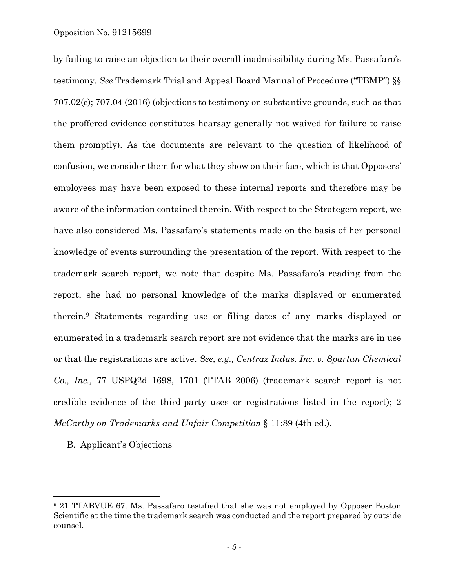Opposition No. 91215699

by failing to raise an objection to their overall inadmissibility during Ms. Passafaro's testimony. *See* Trademark Trial and Appeal Board Manual of Procedure ("TBMP") §§ 707.02(c); 707.04 (2016) (objections to testimony on substantive grounds, such as that the proffered evidence constitutes hearsay generally not waived for failure to raise them promptly). As the documents are relevant to the question of likelihood of confusion, we consider them for what they show on their face, which is that Opposers' employees may have been exposed to these internal reports and therefore may be aware of the information contained therein. With respect to the Strategem report, we have also considered Ms. Passafaro's statements made on the basis of her personal knowledge of events surrounding the presentation of the report. With respect to the trademark search report, we note that despite Ms. Passafaro's reading from the report, she had no personal knowledge of the marks displayed or enumerated therein.9 Statements regarding use or filing dates of any marks displayed or enumerated in a trademark search report are not evidence that the marks are in use or that the registrations are active. *See, e.g., Centraz Indus. Inc. v. Spartan Chemical Co., Inc.,* 77 USPQ2d 1698, 1701 (TTAB 2006) (trademark search report is not credible evidence of the third-party uses or registrations listed in the report); 2 *McCarthy on Trademarks and Unfair Competition* § 11:89 (4th ed.).

B. Applicant's Objections

l

<sup>9 21</sup> TTABVUE 67. Ms. Passafaro testified that she was not employed by Opposer Boston Scientific at the time the trademark search was conducted and the report prepared by outside counsel.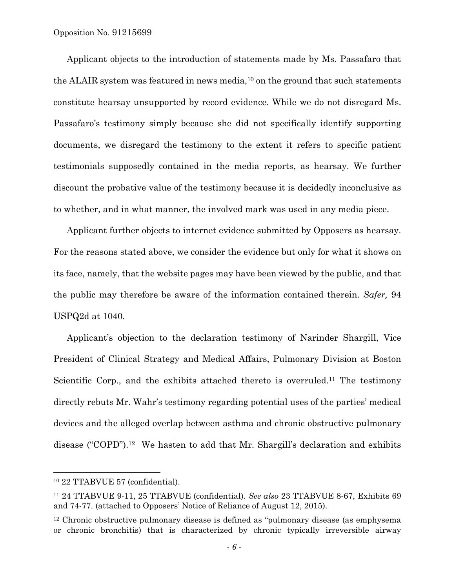Applicant objects to the introduction of statements made by Ms. Passafaro that the ALAIR system was featured in news media,<sup>10</sup> on the ground that such statements constitute hearsay unsupported by record evidence. While we do not disregard Ms. Passafaro's testimony simply because she did not specifically identify supporting documents, we disregard the testimony to the extent it refers to specific patient testimonials supposedly contained in the media reports, as hearsay. We further discount the probative value of the testimony because it is decidedly inconclusive as to whether, and in what manner, the involved mark was used in any media piece.

Applicant further objects to internet evidence submitted by Opposers as hearsay. For the reasons stated above, we consider the evidence but only for what it shows on its face, namely, that the website pages may have been viewed by the public, and that the public may therefore be aware of the information contained therein. *Safer,* 94 USPQ2d at 1040.

Applicant's objection to the declaration testimony of Narinder Shargill, Vice President of Clinical Strategy and Medical Affairs, Pulmonary Division at Boston Scientific Corp., and the exhibits attached thereto is overruled.<sup>11</sup> The testimony directly rebuts Mr. Wahr's testimony regarding potential uses of the parties' medical devices and the alleged overlap between asthma and chronic obstructive pulmonary disease ("COPD").12 We hasten to add that Mr. Shargill's declaration and exhibits

1

<sup>10 22</sup> TTABVUE 57 (confidential).

<sup>11 24</sup> TTABVUE 9-11, 25 TTABVUE (confidential). *See also* 23 TTABVUE 8-67, Exhibits 69 and 74-77. (attached to Opposers' Notice of Reliance of August 12, 2015).

<sup>&</sup>lt;sup>12</sup> Chronic obstructive pulmonary disease is defined as "pulmonary disease (as emphysema or chronic bronchitis) that is characterized by chronic typically irreversible airway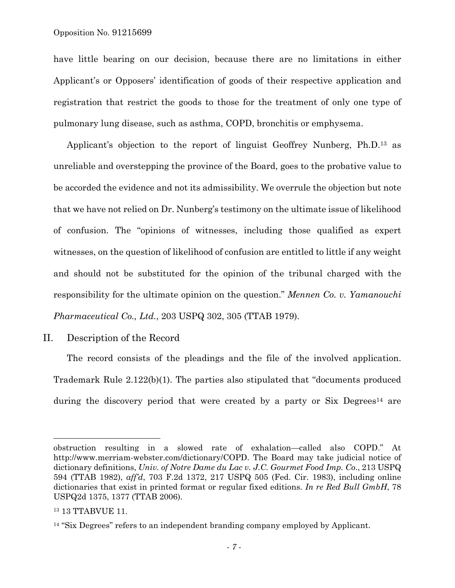have little bearing on our decision, because there are no limitations in either Applicant's or Opposers' identification of goods of their respective application and registration that restrict the goods to those for the treatment of only one type of pulmonary lung disease, such as asthma, COPD, bronchitis or emphysema.

Applicant's objection to the report of linguist Geoffrey Nunberg, Ph.D.13 as unreliable and overstepping the province of the Board, goes to the probative value to be accorded the evidence and not its admissibility. We overrule the objection but note that we have not relied on Dr. Nunberg's testimony on the ultimate issue of likelihood of confusion. The "opinions of witnesses, including those qualified as expert witnesses, on the question of likelihood of confusion are entitled to little if any weight and should not be substituted for the opinion of the tribunal charged with the responsibility for the ultimate opinion on the question." *Mennen Co. v. Yamanouchi Pharmaceutical Co., Ltd.*, 203 USPQ 302, 305 (TTAB 1979).

### II. Description of the Record

The record consists of the pleadings and the file of the involved application. Trademark Rule 2.122(b)(1). The parties also stipulated that "documents produced during the discovery period that were created by a party or  $\text{Six Degrees}^{14}$  are

obstruction resulting in a slowed rate of exhalation—called also COPD." At http://www.merriam-webster.com/dictionary/COPD. The Board may take judicial notice of dictionary definitions, *Univ. of Notre Dame du Lac v. J.C. Gourmet Food Imp. Co*., 213 USPQ 594 (TTAB 1982), *aff'd*, 703 F.2d 1372, 217 USPQ 505 (Fed. Cir. 1983), including online dictionaries that exist in printed format or regular fixed editions. *In re Red Bull GmbH*, 78 USPQ2d 1375, 1377 (TTAB 2006).

<sup>13 13</sup> TTABVUE 11.

<sup>&</sup>lt;sup>14</sup> "Six Degrees" refers to an independent branding company employed by Applicant.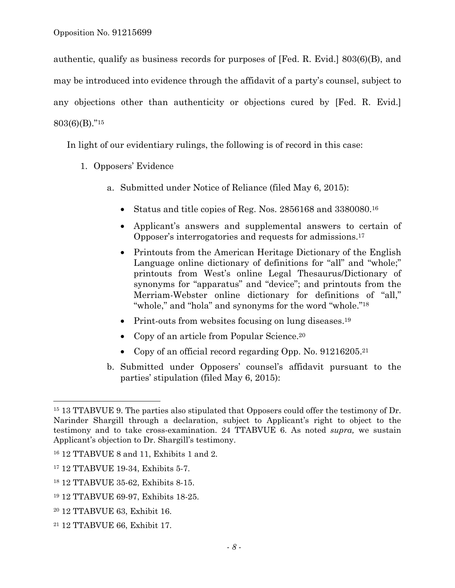authentic, qualify as business records for purposes of [Fed. R. Evid.] 803(6)(B), and may be introduced into evidence through the affidavit of a party's counsel, subject to any objections other than authenticity or objections cured by [Fed. R. Evid.] 803(6)(B)."15

In light of our evidentiary rulings, the following is of record in this case:

- 1. Opposers' Evidence
	- a. Submitted under Notice of Reliance (filed May 6, 2015):
		- Status and title copies of Reg. Nos. 2856168 and 3380080.16
		- Applicant's answers and supplemental answers to certain of Opposer's interrogatories and requests for admissions.17
		- Printouts from the American Heritage Dictionary of the English Language online dictionary of definitions for "all" and "whole;" printouts from West's online Legal Thesaurus/Dictionary of synonyms for "apparatus" and "device"; and printouts from the Merriam-Webster online dictionary for definitions of "all," "whole," and "hola" and synonyms for the word "whole."<sup>18</sup>
		- Print-outs from websites focusing on lung diseases.<sup>19</sup>
		- Copy of an article from Popular Science.<sup>20</sup>
		- Copy of an official record regarding Opp. No. 91216205.<sup>21</sup>
	- b. Submitted under Opposers' counsel's affidavit pursuant to the parties' stipulation (filed May 6, 2015):

1

<sup>&</sup>lt;sup>15</sup> 13 TTABVUE 9. The parties also stipulated that Opposers could offer the testimony of Dr. Narinder Shargill through a declaration, subject to Applicant's right to object to the testimony and to take cross-examination. 24 TTABVUE 6. As noted *supra,* we sustain Applicant's objection to Dr. Shargill's testimony.

<sup>16 12</sup> TTABVUE 8 and 11, Exhibits 1 and 2.

<sup>17 12</sup> TTABVUE 19-34, Exhibits 5-7.

<sup>18 12</sup> TTABVUE 35-62, Exhibits 8-15.

<sup>19 12</sup> TTABVUE 69-97, Exhibits 18-25.

<sup>20 12</sup> TTABVUE 63, Exhibit 16.

<sup>21 12</sup> TTABVUE 66, Exhibit 17.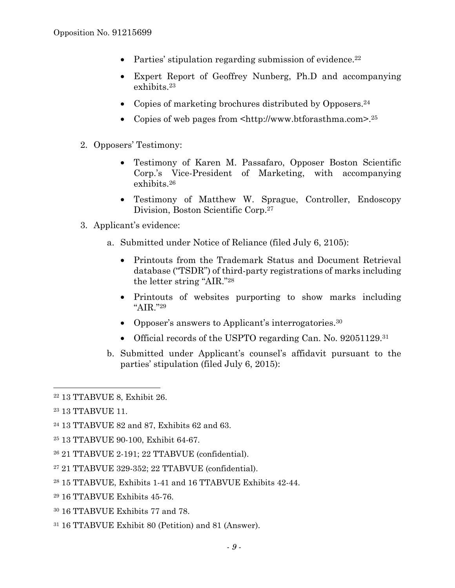- Parties' stipulation regarding submission of evidence.<sup>22</sup>
- Expert Report of Geoffrey Nunberg, Ph.D and accompanying exhibits.23
- Copies of marketing brochures distributed by Opposers.<sup>24</sup>
- Copies of web pages from  $\text{thtn:}/\text{/www.}$  btforasthma.com>.<sup>25</sup>
- 2. Opposers' Testimony:
	- Testimony of Karen M. Passafaro, Opposer Boston Scientific Corp.'s Vice-President of Marketing, with accompanying exhibits.26
	- Testimony of Matthew W. Sprague, Controller, Endoscopy Division, Boston Scientific Corp.27
- 3. Applicant's evidence:
	- a. Submitted under Notice of Reliance (filed July 6, 2105):
		- Printouts from the Trademark Status and Document Retrieval database ("TSDR") of third-party registrations of marks including the letter string "AIR."28
		- Printouts of websites purporting to show marks including "AIR."29
		- Opposer's answers to Applicant's interrogatories.<sup>30</sup>
		- Official records of the USPTO regarding Can. No. 92051129.<sup>31</sup>
	- b. Submitted under Applicant's counsel's affidavit pursuant to the parties' stipulation (filed July 6, 2015):

1

- 28 15 TTABVUE, Exhibits 1-41 and 16 TTABVUE Exhibits 42-44.
- 29 16 TTABVUE Exhibits 45-76.
- 30 16 TTABVUE Exhibits 77 and 78.
- 31 16 TTABVUE Exhibit 80 (Petition) and 81 (Answer).

<sup>22 13</sup> TTABVUE 8, Exhibit 26.

<sup>23 13</sup> TTABVUE 11.

<sup>24 13</sup> TTABVUE 82 and 87, Exhibits 62 and 63.

<sup>25 13</sup> TTABVUE 90-100, Exhibit 64-67.

<sup>26 21</sup> TTABVUE 2-191; 22 TTABVUE (confidential).

<sup>27 21</sup> TTABVUE 329-352; 22 TTABVUE (confidential).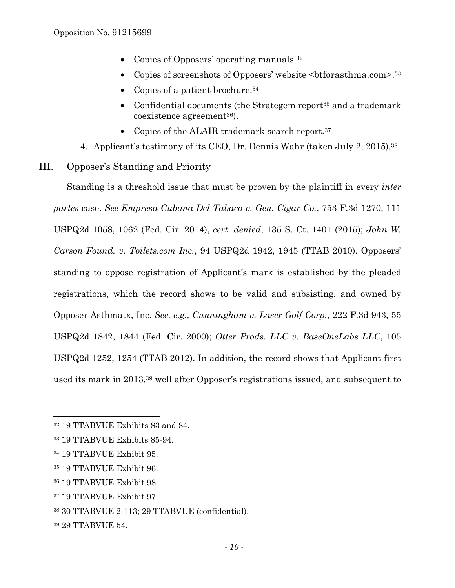- Copies of Opposers' operating manuals.<sup>32</sup>
- Copies of screenshots of Opposers' website <br/>btforasthma.com>.<sup>33</sup>
- Copies of a patient brochure.  $34$
- Confidential documents (the Strategem report<sup>35</sup> and a trademark coexistence agreement36).
- Copies of the ALAIR trademark search report.<sup>37</sup>
- 4. Applicant's testimony of its CEO, Dr. Dennis Wahr (taken July 2, 2015).38
- III. Opposer's Standing and Priority

Standing is a threshold issue that must be proven by the plaintiff in every *inter partes* case. *See Empresa Cubana Del Tabaco v. Gen. Cigar Co.*, 753 F.3d 1270, 111 USPQ2d 1058, 1062 (Fed. Cir. 2014), *cert. denied*, 135 S. Ct. 1401 (2015); *John W. Carson Found. v. Toilets.com Inc.*, 94 USPQ2d 1942, 1945 (TTAB 2010). Opposers' standing to oppose registration of Applicant's mark is established by the pleaded registrations, which the record shows to be valid and subsisting, and owned by Opposer Asthmatx, Inc. *See, e.g., Cunningham v. Laser Golf Corp.*, 222 F.3d 943, 55 USPQ2d 1842, 1844 (Fed. Cir. 2000); *Otter Prods. LLC v. BaseOneLabs LLC*, 105 USPQ2d 1252, 1254 (TTAB 2012). In addition, the record shows that Applicant first used its mark in 2013,39 well after Opposer's registrations issued, and subsequent to

- 35 19 TTABVUE Exhibit 96.
- 36 19 TTABVUE Exhibit 98.
- 37 19 TTABVUE Exhibit 97.
- 38 30 TTABVUE 2-113; 29 TTABVUE (confidential).
- 39 29 TTABVUE 54.

<sup>32 19</sup> TTABVUE Exhibits 83 and 84.

<sup>33 19</sup> TTABVUE Exhibits 85-94.

<sup>34 19</sup> TTABVUE Exhibit 95.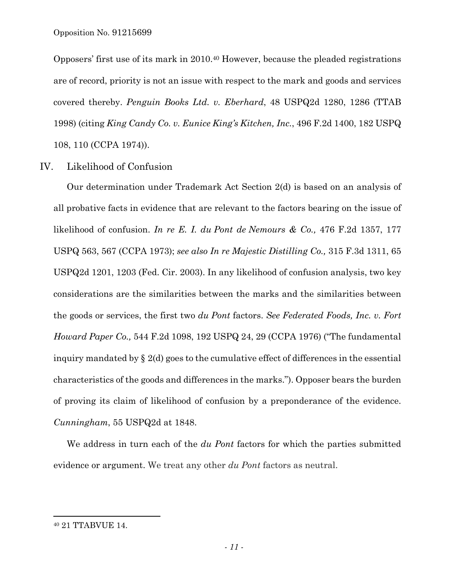Opposition No. 91215699

Opposers' first use of its mark in 2010.40 However, because the pleaded registrations are of record, priority is not an issue with respect to the mark and goods and services covered thereby. *Penguin Books Ltd. v. Eberhard*, 48 USPQ2d 1280, 1286 (TTAB 1998) (citing *King Candy Co. v. Eunice King's Kitchen, Inc.*, 496 F.2d 1400, 182 USPQ 108, 110 (CCPA 1974)).

### IV. Likelihood of Confusion

Our determination under Trademark Act Section 2(d) is based on an analysis of all probative facts in evidence that are relevant to the factors bearing on the issue of likelihood of confusion. *In re E. I. du Pont de Nemours & Co.,* 476 F.2d 1357, 177 USPQ 563, 567 (CCPA 1973); *see also In re Majestic Distilling Co.,* 315 F.3d 1311, 65 USPQ2d 1201, 1203 (Fed. Cir. 2003). In any likelihood of confusion analysis, two key considerations are the similarities between the marks and the similarities between the goods or services, the first two *du Pont* factors. *See Federated Foods, Inc. v. Fort Howard Paper Co.,* 544 F.2d 1098, 192 USPQ 24, 29 (CCPA 1976) ("The fundamental inquiry mandated by  $\S 2(d)$  goes to the cumulative effect of differences in the essential characteristics of the goods and differences in the marks."). Opposer bears the burden of proving its claim of likelihood of confusion by a preponderance of the evidence. *Cunningham*, 55 USPQ2d at 1848.

We address in turn each of the *du Pont* factors for which the parties submitted evidence or argument. We treat any other *du Pont* factors as neutral.

<sup>40 21</sup> TTABVUE 14.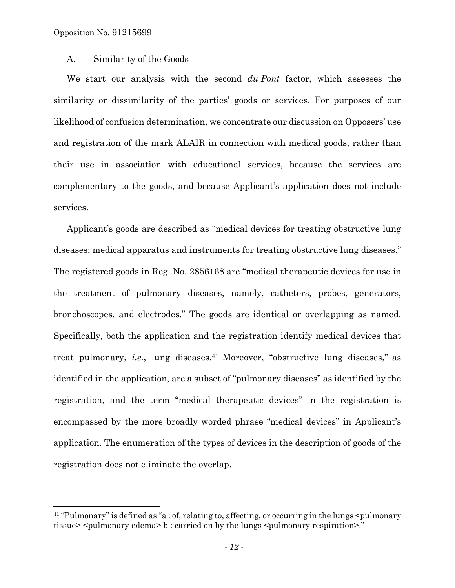1

## A. Similarity of the Goods

We start our analysis with the second *du Pont* factor, which assesses the similarity or dissimilarity of the parties' goods or services. For purposes of our likelihood of confusion determination, we concentrate our discussion on Opposers' use and registration of the mark ALAIR in connection with medical goods, rather than their use in association with educational services, because the services are complementary to the goods, and because Applicant's application does not include services.

Applicant's goods are described as "medical devices for treating obstructive lung diseases; medical apparatus and instruments for treating obstructive lung diseases." The registered goods in Reg. No. 2856168 are "medical therapeutic devices for use in the treatment of pulmonary diseases, namely, catheters, probes, generators, bronchoscopes, and electrodes." The goods are identical or overlapping as named. Specifically, both the application and the registration identify medical devices that treat pulmonary, *i.e.*, lung diseases.<sup>41</sup> Moreover, "obstructive lung diseases," as identified in the application, are a subset of "pulmonary diseases" as identified by the registration, and the term "medical therapeutic devices" in the registration is encompassed by the more broadly worded phrase "medical devices" in Applicant's application. The enumeration of the types of devices in the description of goods of the registration does not eliminate the overlap.

 $41$  "Pulmonary" is defined as "a : of, relating to, affecting, or occurring in the lungs  $\leq$ pulmonary tissue> <pulmonary edema> b : carried on by the lungs <pulmonary respiration>."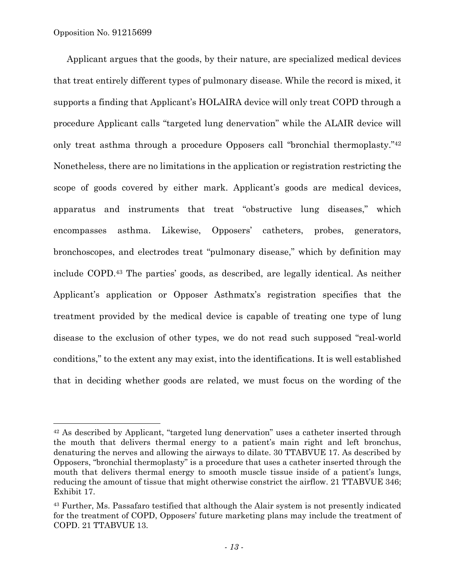$\overline{a}$ 

Applicant argues that the goods, by their nature, are specialized medical devices that treat entirely different types of pulmonary disease. While the record is mixed, it supports a finding that Applicant's HOLAIRA device will only treat COPD through a procedure Applicant calls "targeted lung denervation" while the ALAIR device will only treat asthma through a procedure Opposers call "bronchial thermoplasty."42 Nonetheless, there are no limitations in the application or registration restricting the scope of goods covered by either mark. Applicant's goods are medical devices, apparatus and instruments that treat "obstructive lung diseases," which encompasses asthma. Likewise, Opposers' catheters, probes, generators, bronchoscopes, and electrodes treat "pulmonary disease," which by definition may include COPD.43 The parties' goods, as described, are legally identical. As neither Applicant's application or Opposer Asthmatx's registration specifies that the treatment provided by the medical device is capable of treating one type of lung disease to the exclusion of other types, we do not read such supposed "real-world conditions," to the extent any may exist, into the identifications. It is well established that in deciding whether goods are related, we must focus on the wording of the

<sup>42</sup> As described by Applicant, "targeted lung denervation" uses a catheter inserted through the mouth that delivers thermal energy to a patient's main right and left bronchus, denaturing the nerves and allowing the airways to dilate. 30 TTABVUE 17. As described by Opposers, "bronchial thermoplasty" is a procedure that uses a catheter inserted through the mouth that delivers thermal energy to smooth muscle tissue inside of a patient's lungs, reducing the amount of tissue that might otherwise constrict the airflow. 21 TTABVUE 346; Exhibit 17.

<sup>43</sup> Further, Ms. Passafaro testified that although the Alair system is not presently indicated for the treatment of COPD, Opposers' future marketing plans may include the treatment of COPD. 21 TTABVUE 13.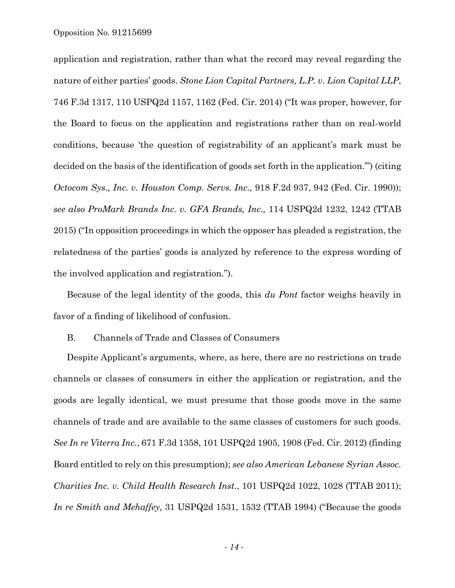Opposition No. 91215699

application and registration, rather than what the record may reveal regarding the nature of either parties' goods. *Stone Lion Capital Partners, L.P. v. Lion Capital LLP*, 746 F.3d 1317, 110 USPQ2d 1157, 1162 (Fed. Cir. 2014) ("It was proper, however, for the Board to focus on the application and registrations rather than on real-world conditions, because 'the question of registrability of an applicant's mark must be decided on the basis of the identification of goods set forth in the application.'") (citing *Octocom Sys., Inc. v. Houston Comp. Servs. Inc.,* 918 F.2d 937, 942 (Fed. Cir. 1990)); *see also ProMark Brands Inc. v. GFA Brands, Inc.,* 114 USPQ2d 1232, 1242 (TTAB 2015) ("In opposition proceedings in which the opposer has pleaded a registration, the relatedness of the parties' goods is analyzed by reference to the express wording of the involved application and registration.").

Because of the legal identity of the goods, this *du Pont* factor weighs heavily in favor of a finding of likelihood of confusion.

B. Channels of Trade and Classes of Consumers

Despite Applicant's arguments, where, as here, there are no restrictions on trade channels or classes of consumers in either the application or registration, and the goods are legally identical, we must presume that those goods move in the same channels of trade and are available to the same classes of customers for such goods. *See In re Viterra Inc.*, 671 F.3d 1358, 101 USPQ2d 1905, 1908 (Fed. Cir. 2012) (finding Board entitled to rely on this presumption); *see also American Lebanese Syrian Assoc. Charities Inc. v. Child Health Research Inst.*, 101 USPQ2d 1022, 1028 (TTAB 2011); *In re Smith and Mehaffey,* 31 USPQ2d 1531, 1532 (TTAB 1994) ("Because the goods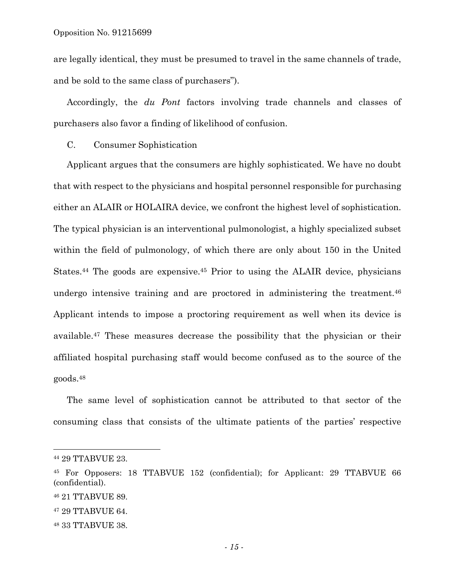are legally identical, they must be presumed to travel in the same channels of trade, and be sold to the same class of purchasers").

Accordingly, the *du Pont* factors involving trade channels and classes of purchasers also favor a finding of likelihood of confusion.

C. Consumer Sophistication

Applicant argues that the consumers are highly sophisticated. We have no doubt that with respect to the physicians and hospital personnel responsible for purchasing either an ALAIR or HOLAIRA device, we confront the highest level of sophistication. The typical physician is an interventional pulmonologist, a highly specialized subset within the field of pulmonology, of which there are only about 150 in the United States.44 The goods are expensive.45 Prior to using the ALAIR device, physicians undergo intensive training and are proctored in administering the treatment.<sup>46</sup> Applicant intends to impose a proctoring requirement as well when its device is available.47 These measures decrease the possibility that the physician or their affiliated hospital purchasing staff would become confused as to the source of the goods.48

The same level of sophistication cannot be attributed to that sector of the consuming class that consists of the ultimate patients of the parties' respective

<sup>44 29</sup> TTABVUE 23.

<sup>45</sup> For Opposers: 18 TTABVUE 152 (confidential); for Applicant: 29 TTABVUE 66 (confidential).

<sup>46 21</sup> TTABVUE 89.

<sup>47 29</sup> TTABVUE 64.

<sup>48 33</sup> TTABVUE 38.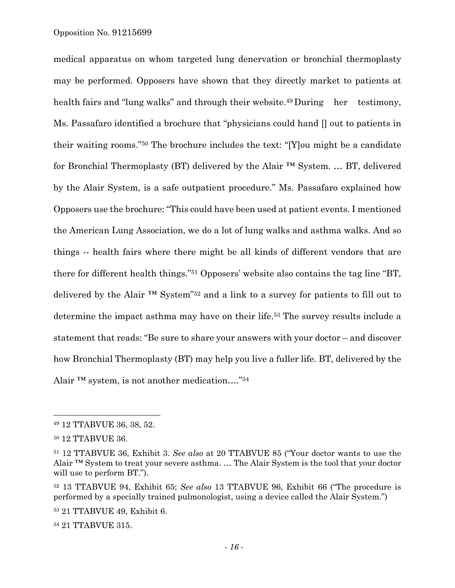medical apparatus on whom targeted lung denervation or bronchial thermoplasty may be performed. Opposers have shown that they directly market to patients at health fairs and "lung walks" and through their website.<sup>49</sup> During her testimony, Ms. Passafaro identified a brochure that "physicians could hand [] out to patients in their waiting rooms."50 The brochure includes the text: "[Y]ou might be a candidate for Bronchial Thermoplasty (BT) delivered by the Alair ™ System. … BT, delivered by the Alair System, is a safe outpatient procedure." Ms. Passafaro explained how Opposers use the brochure: "This could have been used at patient events. I mentioned the American Lung Association, we do a lot of lung walks and asthma walks. And so things -- health fairs where there might be all kinds of different vendors that are there for different health things."51 Opposers' website also contains the tag line "BT, delivered by the Alair ™ System"52 and a link to a survey for patients to fill out to determine the impact asthma may have on their life.53 The survey results include a statement that reads: "Be sure to share your answers with your doctor – and discover how Bronchial Thermoplasty (BT) may help you live a fuller life. BT, delivered by the Alair ™ system, is not another medication…."54

 $\overline{a}$ 

53 21 TTABVUE 49, Exhibit 6.

54 21 TTABVUE 315.

<sup>49 12</sup> TTABVUE 36, 38, 52.

<sup>50 12</sup> TTABVUE 36.

<sup>51 12</sup> TTABVUE 36, Exhibit 3. *See also* at 20 TTABVUE 85 ("Your doctor wants to use the Alair ™ System to treat your severe asthma. … The Alair System is the tool that your doctor will use to perform BT.").

<sup>52 13</sup> TTABVUE 94, Exhibit 65; *See also* 13 TTABVUE 96, Exhibit 66 ("The procedure is performed by a specially trained pulmonologist, using a device called the Alair System.")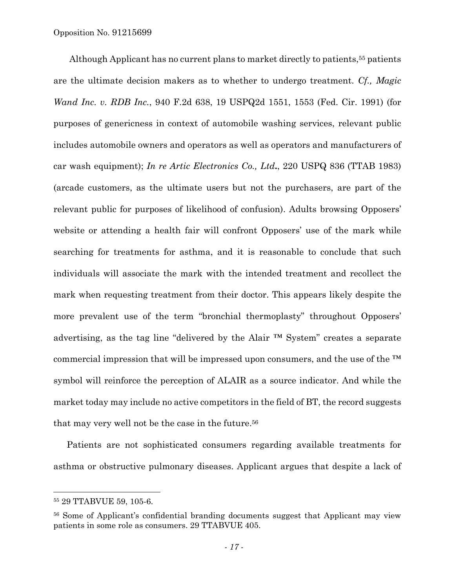Although Applicant has no current plans to market directly to patients,<sup>55</sup> patients are the ultimate decision makers as to whether to undergo treatment. *Cf., Magic Wand Inc. v. RDB Inc.*, 940 F.2d 638, 19 USPQ2d 1551, 1553 (Fed. Cir. 1991) (for purposes of genericness in context of automobile washing services, relevant public includes automobile owners and operators as well as operators and manufacturers of car wash equipment); *In re Artic Electronics Co., Ltd***.**, 220 USPQ 836 (TTAB 1983) (arcade customers, as the ultimate users but not the purchasers, are part of the relevant public for purposes of likelihood of confusion). Adults browsing Opposers' website or attending a health fair will confront Opposers' use of the mark while searching for treatments for asthma, and it is reasonable to conclude that such individuals will associate the mark with the intended treatment and recollect the mark when requesting treatment from their doctor. This appears likely despite the more prevalent use of the term "bronchial thermoplasty" throughout Opposers' advertising, as the tag line "delivered by the Alair ™ System" creates a separate commercial impression that will be impressed upon consumers, and the use of the ™ symbol will reinforce the perception of ALAIR as a source indicator. And while the market today may include no active competitors in the field of BT, the record suggests that may very well not be the case in the future.56

Patients are not sophisticated consumers regarding available treatments for asthma or obstructive pulmonary diseases. Applicant argues that despite a lack of

l

<sup>55 29</sup> TTABVUE 59, 105-6.

<sup>56</sup> Some of Applicant's confidential branding documents suggest that Applicant may view patients in some role as consumers. 29 TTABVUE 405.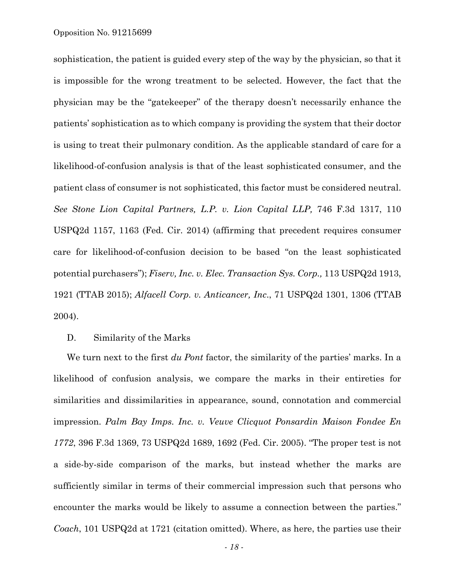sophistication, the patient is guided every step of the way by the physician, so that it is impossible for the wrong treatment to be selected. However, the fact that the physician may be the "gatekeeper" of the therapy doesn't necessarily enhance the patients' sophistication as to which company is providing the system that their doctor is using to treat their pulmonary condition. As the applicable standard of care for a likelihood-of-confusion analysis is that of the least sophisticated consumer, and the patient class of consumer is not sophisticated, this factor must be considered neutral. *See Stone Lion Capital Partners, L.P. v. Lion Capital LLP,* 746 F.3d 1317, 110 USPQ2d 1157, 1163 (Fed. Cir. 2014) (affirming that precedent requires consumer care for likelihood-of-confusion decision to be based "on the least sophisticated potential purchasers"); *Fiserv, Inc. v. Elec. Transaction Sys. Corp.,* 113 USPQ2d 1913, 1921 (TTAB 2015); *Alfacell Corp. v. Anticancer, Inc*., 71 USPQ2d 1301, 1306 (TTAB 2004).

#### D. Similarity of the Marks

We turn next to the first *du Pont* factor, the similarity of the parties' marks. In a likelihood of confusion analysis, we compare the marks in their entireties for similarities and dissimilarities in appearance, sound, connotation and commercial impression. *Palm Bay Imps. Inc. v. Veuve Clicquot Ponsardin Maison Fondee En 1772*, 396 F.3d 1369, 73 USPQ2d 1689, 1692 (Fed. Cir. 2005). "The proper test is not a side-by-side comparison of the marks, but instead whether the marks are sufficiently similar in terms of their commercial impression such that persons who encounter the marks would be likely to assume a connection between the parties." *Coach*, 101 USPQ2d at 1721 (citation omitted). Where, as here, the parties use their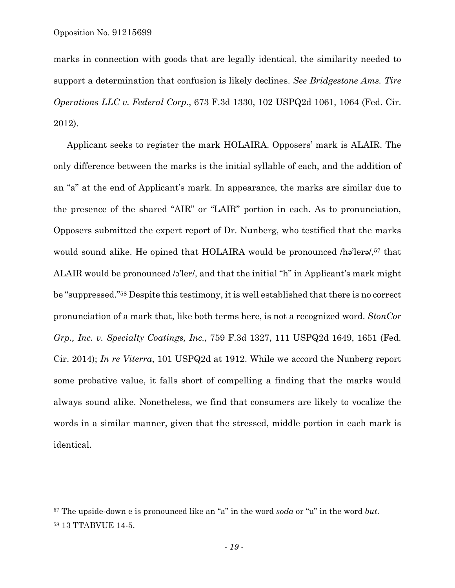$\overline{a}$ 

marks in connection with goods that are legally identical, the similarity needed to support a determination that confusion is likely declines. *See Bridgestone Ams. Tire Operations LLC v. Federal Corp.*, 673 F.3d 1330, 102 USPQ2d 1061, 1064 (Fed. Cir. 2012).

Applicant seeks to register the mark HOLAIRA. Opposers' mark is ALAIR. The only difference between the marks is the initial syllable of each, and the addition of an "a" at the end of Applicant's mark. In appearance, the marks are similar due to the presence of the shared "AIR" or "LAIR" portion in each. As to pronunciation, Opposers submitted the expert report of Dr. Nunberg, who testified that the marks would sound alike. He opined that HOLAIRA would be pronounced /hə'lerə/,<sup>57</sup> that ALAIR would be pronounced /ə'ler/, and that the initial "h" in Applicant's mark might be "suppressed."58 Despite this testimony, it is well established that there is no correct pronunciation of a mark that, like both terms here, is not a recognized word. *StonCor Grp., Inc. v. Specialty Coatings, Inc.*, 759 F.3d 1327, 111 USPQ2d 1649, 1651 (Fed. Cir. 2014); *In re Viterra*, 101 USPQ2d at 1912. While we accord the Nunberg report some probative value, it falls short of compelling a finding that the marks would always sound alike. Nonetheless, we find that consumers are likely to vocalize the words in a similar manner, given that the stressed, middle portion in each mark is identical.

<sup>57</sup> The upside-down e is pronounced like an "a" in the word *soda* or "u" in the word *but*. 58 13 TTABVUE 14-5.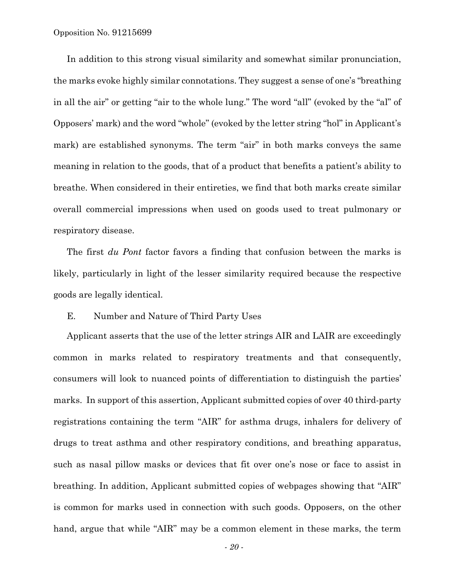In addition to this strong visual similarity and somewhat similar pronunciation, the marks evoke highly similar connotations. They suggest a sense of one's "breathing in all the air" or getting "air to the whole lung." The word "all" (evoked by the "al" of Opposers' mark) and the word "whole" (evoked by the letter string "hol" in Applicant's mark) are established synonyms. The term "air" in both marks conveys the same meaning in relation to the goods, that of a product that benefits a patient's ability to breathe. When considered in their entireties, we find that both marks create similar overall commercial impressions when used on goods used to treat pulmonary or respiratory disease.

The first *du Pont* factor favors a finding that confusion between the marks is likely, particularly in light of the lesser similarity required because the respective goods are legally identical.

### E. Number and Nature of Third Party Uses

Applicant asserts that the use of the letter strings AIR and LAIR are exceedingly common in marks related to respiratory treatments and that consequently, consumers will look to nuanced points of differentiation to distinguish the parties' marks. In support of this assertion, Applicant submitted copies of over 40 third-party registrations containing the term "AIR" for asthma drugs, inhalers for delivery of drugs to treat asthma and other respiratory conditions, and breathing apparatus, such as nasal pillow masks or devices that fit over one's nose or face to assist in breathing. In addition, Applicant submitted copies of webpages showing that "AIR" is common for marks used in connection with such goods. Opposers, on the other hand, argue that while "AIR" may be a common element in these marks, the term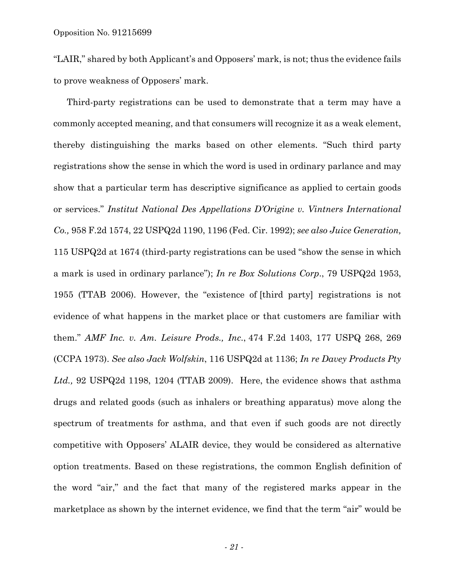"LAIR," shared by both Applicant's and Opposers' mark, is not; thus the evidence fails to prove weakness of Opposers' mark.

Third-party registrations can be used to demonstrate that a term may have a commonly accepted meaning, and that consumers will recognize it as a weak element, thereby distinguishing the marks based on other elements. "Such third party registrations show the sense in which the word is used in ordinary parlance and may show that a particular term has descriptive significance as applied to certain goods or services." *Institut National Des Appellations D'Origine v. Vintners International Co.,* 958 F.2d 1574, 22 USPQ2d 1190, 1196 (Fed. Cir. 1992); *see also Juice Generation,*  115 USPQ2d at 1674 (third-party registrations can be used "show the sense in which a mark is used in ordinary parlance"); *In re Box Solutions Corp*., 79 USPQ2d 1953, 1955 (TTAB 2006). However, the "existence of [third party] registrations is not evidence of what happens in the market place or that customers are familiar with them." *AMF Inc. v. Am. Leisure Prods., Inc*., 474 F.2d 1403, 177 USPQ 268, 269 (CCPA 1973). *See also Jack Wolfskin*, 116 USPQ2d at 1136; *In re Davey Products Pty Ltd.,* 92 USPQ2d 1198, 1204 (TTAB 2009). Here, the evidence shows that asthma drugs and related goods (such as inhalers or breathing apparatus) move along the spectrum of treatments for asthma, and that even if such goods are not directly competitive with Opposers' ALAIR device, they would be considered as alternative option treatments. Based on these registrations, the common English definition of the word "air," and the fact that many of the registered marks appear in the marketplace as shown by the internet evidence, we find that the term "air" would be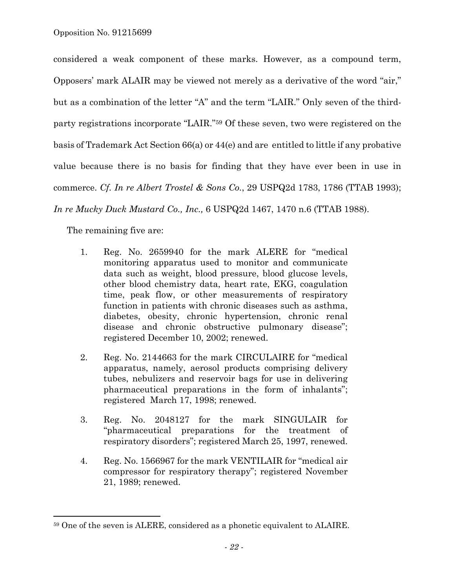considered a weak component of these marks. However, as a compound term, Opposers' mark ALAIR may be viewed not merely as a derivative of the word "air," but as a combination of the letter "A" and the term "LAIR." Only seven of the thirdparty registrations incorporate "LAIR."59 Of these seven, two were registered on the basis of Trademark Act Section 66(a) or 44(e) and are entitled to little if any probative value because there is no basis for finding that they have ever been in use in commerce. *Cf. In re Albert Trostel & Sons Co.*, 29 USPQ2d 1783, 1786 (TTAB 1993); *In re Mucky Duck Mustard Co., Inc.,* 6 USPQ2d 1467, 1470 n.6 (TTAB 1988).

The remaining five are:

- 1. Reg. No. 2659940 for the mark ALERE for "medical monitoring apparatus used to monitor and communicate data such as weight, blood pressure, blood glucose levels, other blood chemistry data, heart rate, EKG, coagulation time, peak flow, or other measurements of respiratory function in patients with chronic diseases such as asthma, diabetes, obesity, chronic hypertension, chronic renal disease and chronic obstructive pulmonary disease"; registered December 10, 2002; renewed.
- 2. Reg. No. 2144663 for the mark CIRCULAIRE for "medical apparatus, namely, aerosol products comprising delivery tubes, nebulizers and reservoir bags for use in delivering pharmaceutical preparations in the form of inhalants"; registered March 17, 1998; renewed.
- 3. Reg. No. 2048127 for the mark SINGULAIR for "pharmaceutical preparations for the treatment of respiratory disorders"; registered March 25, 1997, renewed.
- 4. Reg. No. 1566967 for the mark VENTILAIR for "medical air compressor for respiratory therapy"; registered November 21, 1989; renewed.

<sup>59</sup> One of the seven is ALERE, considered as a phonetic equivalent to ALAIRE.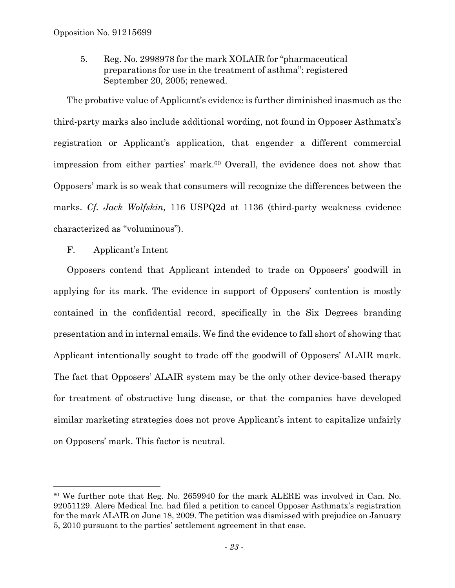5. Reg. No. 2998978 for the mark XOLAIR for "pharmaceutical preparations for use in the treatment of asthma"; registered September 20, 2005; renewed.

The probative value of Applicant's evidence is further diminished inasmuch as the third-party marks also include additional wording, not found in Opposer Asthmatx's registration or Applicant's application, that engender a different commercial impression from either parties' mark.60 Overall, the evidence does not show that Opposers' mark is so weak that consumers will recognize the differences between the marks. *Cf. Jack Wolfskin,* 116 USPQ2d at 1136 (third-party weakness evidence characterized as "voluminous").

## F. Applicant's Intent

1

Opposers contend that Applicant intended to trade on Opposers' goodwill in applying for its mark. The evidence in support of Opposers' contention is mostly contained in the confidential record, specifically in the Six Degrees branding presentation and in internal emails. We find the evidence to fall short of showing that Applicant intentionally sought to trade off the goodwill of Opposers' ALAIR mark. The fact that Opposers' ALAIR system may be the only other device-based therapy for treatment of obstructive lung disease, or that the companies have developed similar marketing strategies does not prove Applicant's intent to capitalize unfairly on Opposers' mark. This factor is neutral.

<sup>60</sup> We further note that Reg. No. 2659940 for the mark ALERE was involved in Can. No. 92051129. Alere Medical Inc. had filed a petition to cancel Opposer Asthmatx's registration for the mark ALAIR on June 18, 2009. The petition was dismissed with prejudice on January 5, 2010 pursuant to the parties' settlement agreement in that case.